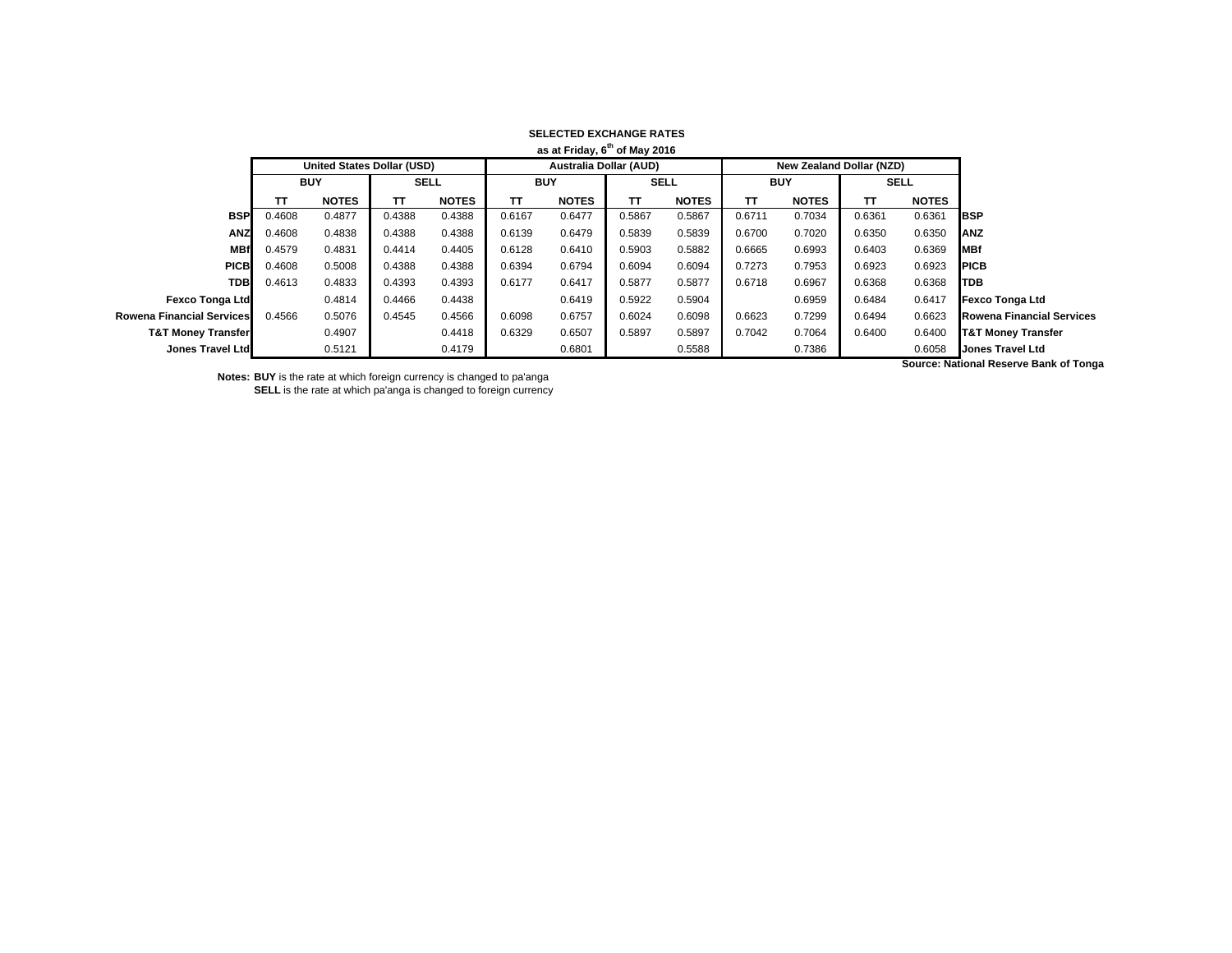|                               |                                           |                                   |             |              |            | ------------------------------- |             |              |            |                                 |             |              |                                              |
|-------------------------------|-------------------------------------------|-----------------------------------|-------------|--------------|------------|---------------------------------|-------------|--------------|------------|---------------------------------|-------------|--------------|----------------------------------------------|
|                               | as at Friday, 6 <sup>th</sup> of May 2016 |                                   |             |              |            |                                 |             |              |            |                                 |             |              |                                              |
|                               |                                           | <b>United States Dollar (USD)</b> |             |              |            | <b>Australia Dollar (AUD)</b>   |             |              |            | <b>New Zealand Dollar (NZD)</b> |             |              |                                              |
|                               | <b>BUY</b>                                |                                   | <b>SELL</b> |              | <b>BUY</b> |                                 | <b>SELL</b> |              | <b>BUY</b> |                                 | <b>SELL</b> |              |                                              |
|                               | тτ                                        | <b>NOTES</b>                      | ТΤ          | <b>NOTES</b> | TΤ         | <b>NOTES</b>                    | TΤ          | <b>NOTES</b> | TΤ         | <b>NOTES</b>                    | TΤ          | <b>NOTES</b> |                                              |
| <b>BSP</b>                    | 0.4608                                    | 0.4877                            | 0.4388      | 0.4388       | 0.6167     | 0.6477                          | 0.5867      | 0.5867       | 0.6711     | 0.7034                          | 0.6361      | 0.6361       | <b>IBSP</b>                                  |
| <b>ANZ</b>                    | 0.4608                                    | 0.4838                            | 0.4388      | 0.4388       | 0.6139     | 0.6479                          | 0.5839      | 0.5839       | 0.6700     | 0.7020                          | 0.6350      | 0.6350       | <b>ANZ</b>                                   |
| <b>MBf</b>                    | 0.4579                                    | 0.4831                            | 0.4414      | 0.4405       | 0.6128     | 0.6410                          | 0.5903      | 0.5882       | 0.6665     | 0.6993                          | 0.6403      | 0.6369       | <b>MBf</b>                                   |
| <b>PICB</b>                   | 0.4608                                    | 0.5008                            | 0.4388      | 0.4388       | 0.6394     | 0.6794                          | 0.6094      | 0.6094       | 0.7273     | 0.7953                          | 0.6923      | 0.6923       | <b>IPICB</b>                                 |
| <b>TDB</b>                    | 0.4613                                    | 0.4833                            | 0.4393      | 0.4393       | 0.6177     | 0.6417                          | 0.5877      | 0.5877       | 0.6718     | 0.6967                          | 0.6368      | 0.6368       | <b>ITDB</b>                                  |
| <b>Fexco Tonga Ltd</b>        |                                           | 0.4814                            | 0.4466      | 0.4438       |            | 0.6419                          | 0.5922      | 0.5904       |            | 0.6959                          | 0.6484      | 0.6417       | Fexco Tonga Ltd                              |
| Rowena Financial Services     | 0.4566                                    | 0.5076                            | 0.4545      | 0.4566       | 0.6098     | 0.6757                          | 0.6024      | 0.6098       | 0.6623     | 0.7299                          | 0.6494      | 0.6623       | <b>Rowena Financial Services</b>             |
| <b>T&amp;T Money Transfer</b> |                                           | 0.4907                            |             | 0.4418       | 0.6329     | 0.6507                          | 0.5897      | 0.5897       | 0.7042     | 0.7064                          | 0.6400      | 0.6400       | <b>T&amp;T Money Transfer</b>                |
| Jones Travel Ltd              |                                           | 0.5121                            |             | 0.4179       |            | 0.6801                          |             | 0.5588       |            | 0.7386                          |             | 0.6058       | Jones Travel Ltd                             |
|                               |                                           |                                   |             |              |            |                                 |             |              |            |                                 |             |              | <b>Course: National Peserve Rank of Tone</b> |

**Notes: BUY** is the rate at which foreign currency is changed to pa'anga **SELL** is the rate at which pa'anga is changed to foreign currency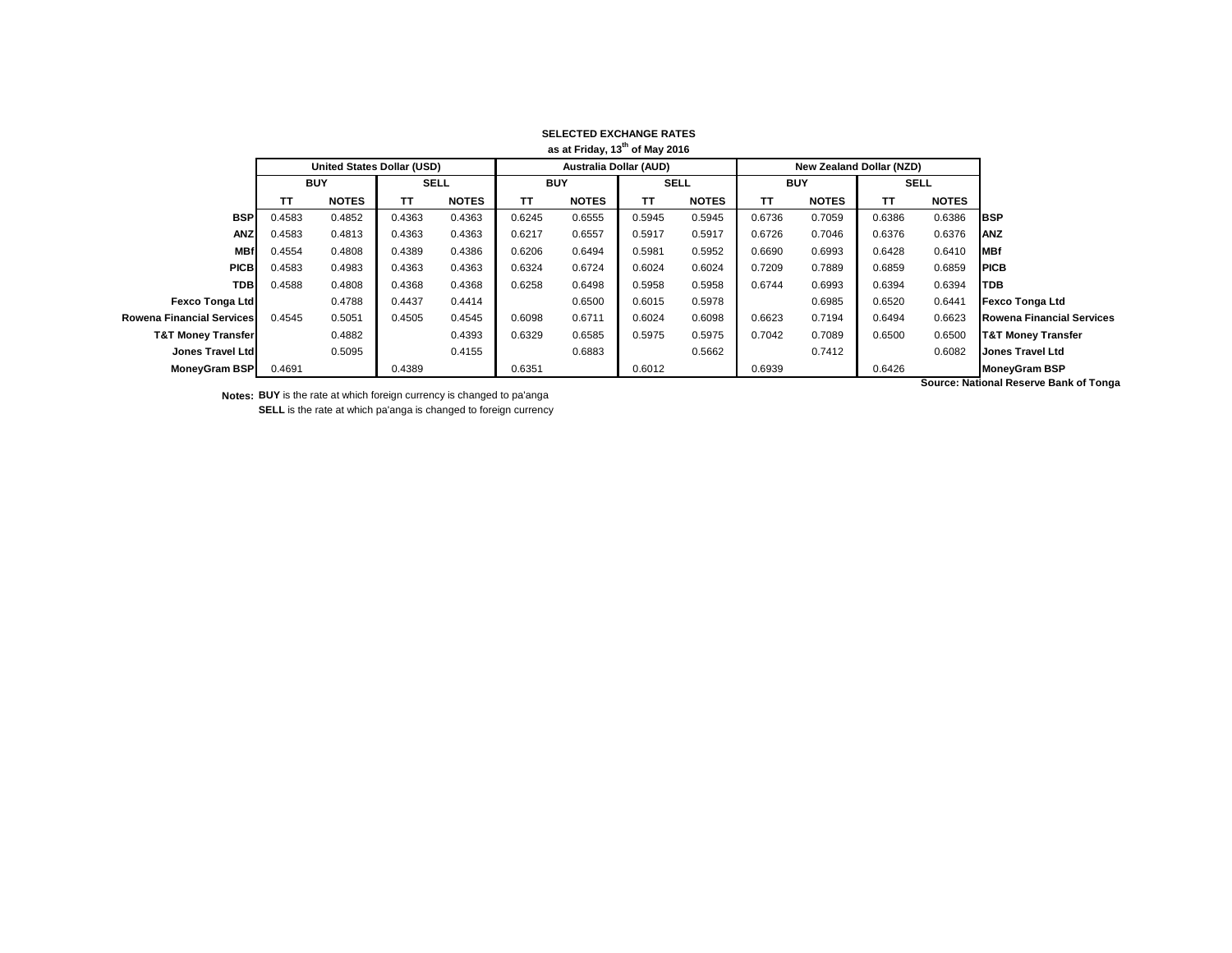|                               |            |                                   |             |              |                               | as at Friday, 13 <sup>th</sup> of May 2016 |             |              |            |                                 |             |              |                                       |
|-------------------------------|------------|-----------------------------------|-------------|--------------|-------------------------------|--------------------------------------------|-------------|--------------|------------|---------------------------------|-------------|--------------|---------------------------------------|
|                               |            | <b>United States Dollar (USD)</b> |             |              | <b>Australia Dollar (AUD)</b> |                                            |             |              |            | <b>New Zealand Dollar (NZD)</b> |             |              |                                       |
|                               | <b>BUY</b> |                                   | <b>SELL</b> |              | <b>BUY</b>                    |                                            | <b>SELL</b> |              | <b>BUY</b> |                                 | <b>SELL</b> |              |                                       |
|                               | TΤ         | <b>NOTES</b>                      | TΤ          | <b>NOTES</b> | ΤT                            | <b>NOTES</b>                               | TΤ          | <b>NOTES</b> | TΤ         | <b>NOTES</b>                    | <b>TT</b>   | <b>NOTES</b> |                                       |
| <b>BSP</b>                    | 0.4583     | 0.4852                            | 0.4363      | 0.4363       | 0.6245                        | 0.6555                                     | 0.5945      | 0.5945       | 0.6736     | 0.7059                          | 0.6386      | 0.6386       | <b>IBSP</b>                           |
| <b>ANZ</b>                    | 0.4583     | 0.4813                            | 0.4363      | 0.4363       | 0.6217                        | 0.6557                                     | 0.5917      | 0.5917       | 0.6726     | 0.7046                          | 0.6376      | 0.6376       | <b>ANZ</b>                            |
| <b>MBf</b>                    | 0.4554     | 0.4808                            | 0.4389      | 0.4386       | 0.6206                        | 0.6494                                     | 0.5981      | 0.5952       | 0.6690     | 0.6993                          | 0.6428      | 0.6410       | <b>MBf</b>                            |
| <b>PICB</b>                   | 0.4583     | 0.4983                            | 0.4363      | 0.4363       | 0.6324                        | 0.6724                                     | 0.6024      | 0.6024       | 0.7209     | 0.7889                          | 0.6859      | 0.6859       | <b>PICB</b>                           |
| <b>TDB</b>                    | 0.4588     | 0.4808                            | 0.4368      | 0.4368       | 0.6258                        | 0.6498                                     | 0.5958      | 0.5958       | 0.6744     | 0.6993                          | 0.6394      | 0.6394       | <b>TDB</b>                            |
| <b>Fexco Tonga Ltd</b>        |            | 0.4788                            | 0.4437      | 0.4414       |                               | 0.6500                                     | 0.6015      | 0.5978       |            | 0.6985                          | 0.6520      | 0.6441       | <b>Fexco Tonga Ltd</b>                |
| Rowena Financial Services     | 0.4545     | 0.5051                            | 0.4505      | 0.4545       | 0.6098                        | 0.6711                                     | 0.6024      | 0.6098       | 0.6623     | 0.7194                          | 0.6494      | 0.6623       | <b>Rowena Financial Services</b>      |
| <b>T&amp;T Money Transfer</b> |            | 0.4882                            |             | 0.4393       | 0.6329                        | 0.6585                                     | 0.5975      | 0.5975       | 0.7042     | 0.7089                          | 0.6500      | 0.6500       | <b>T&amp;T Money Transfer</b>         |
| Jones Travel Ltd              |            | 0.5095                            |             | 0.4155       |                               | 0.6883                                     |             | 0.5662       |            | 0.7412                          |             | 0.6082       | <b>Jones Travel Ltd</b>               |
| <b>MoneyGram BSP</b>          | 0.4691     |                                   | 0.4389      |              | 0.6351                        |                                            | 0.6012      |              | 0.6939     |                                 | 0.6426      |              | <b>MoneyGram BSP</b>                  |
|                               |            |                                   |             |              |                               |                                            |             |              |            |                                 |             |              | Source: National Pecerus Rank of Tong |

**Notes: BUY** is the rate at which foreign currency is changed to pa'anga **SELL** is the rate at which pa'anga is changed to foreign currency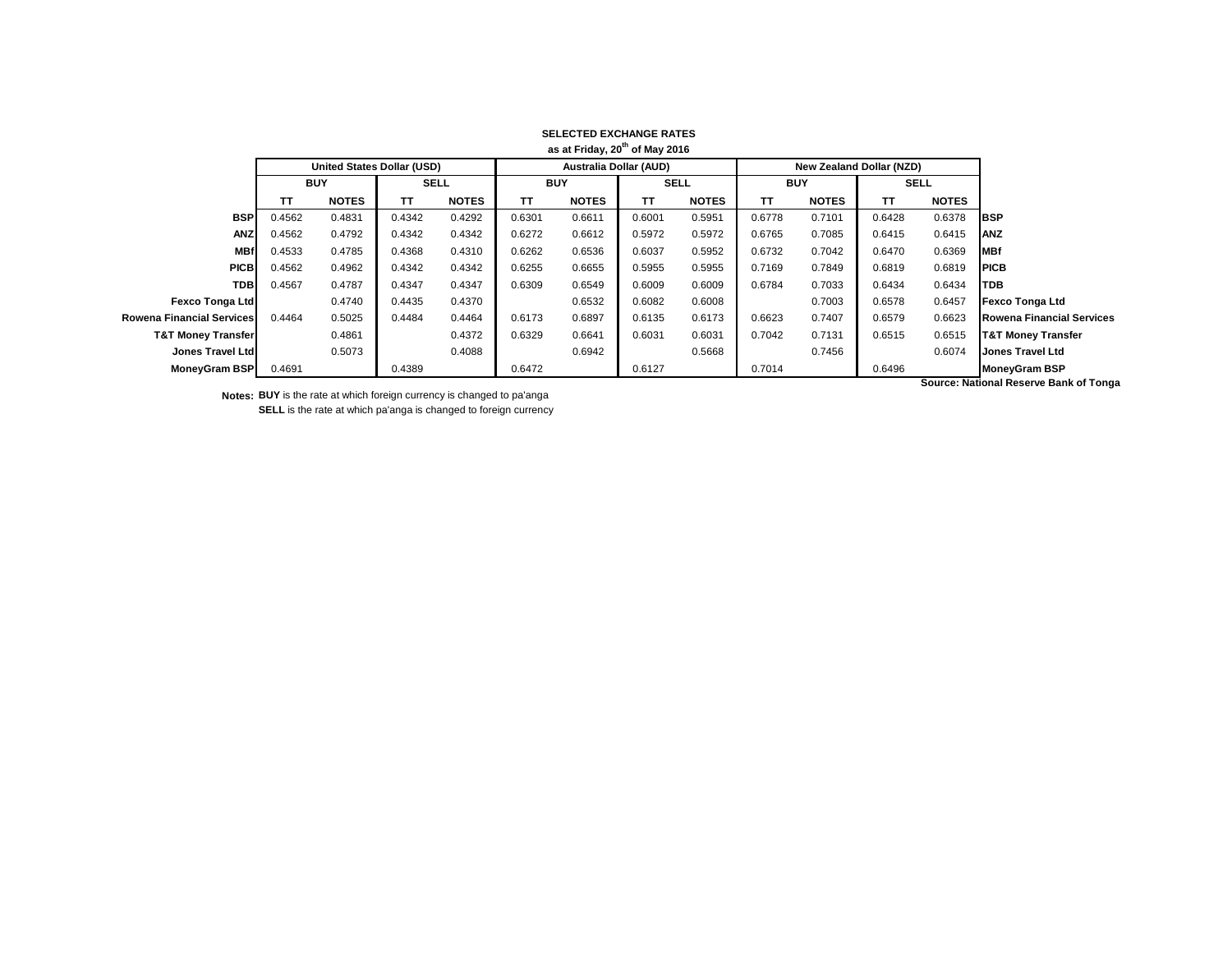|                               |            |                                   |             |              |                               | as at Friday, 20 <sup>th</sup> of May 2016 |             |              |            |                                 |             |              |                                       |
|-------------------------------|------------|-----------------------------------|-------------|--------------|-------------------------------|--------------------------------------------|-------------|--------------|------------|---------------------------------|-------------|--------------|---------------------------------------|
|                               |            | <b>United States Dollar (USD)</b> |             |              | <b>Australia Dollar (AUD)</b> |                                            |             |              |            | <b>New Zealand Dollar (NZD)</b> |             |              |                                       |
|                               | <b>BUY</b> |                                   | <b>SELL</b> |              | <b>BUY</b>                    |                                            | <b>SELL</b> |              | <b>BUY</b> |                                 | <b>SELL</b> |              |                                       |
|                               | TΤ         | <b>NOTES</b>                      | TΤ          | <b>NOTES</b> | ΤT                            | <b>NOTES</b>                               | TΤ          | <b>NOTES</b> | TΤ         | <b>NOTES</b>                    | <b>TT</b>   | <b>NOTES</b> |                                       |
| <b>BSP</b>                    | 0.4562     | 0.4831                            | 0.4342      | 0.4292       | 0.6301                        | 0.6611                                     | 0.6001      | 0.5951       | 0.6778     | 0.7101                          | 0.6428      | 0.6378       | <b>IBSP</b>                           |
| <b>ANZ</b>                    | 0.4562     | 0.4792                            | 0.4342      | 0.4342       | 0.6272                        | 0.6612                                     | 0.5972      | 0.5972       | 0.6765     | 0.7085                          | 0.6415      | 0.6415       | <b>ANZ</b>                            |
| <b>MBf</b>                    | 0.4533     | 0.4785                            | 0.4368      | 0.4310       | 0.6262                        | 0.6536                                     | 0.6037      | 0.5952       | 0.6732     | 0.7042                          | 0.6470      | 0.6369       | <b>MBf</b>                            |
| <b>PICB</b>                   | 0.4562     | 0.4962                            | 0.4342      | 0.4342       | 0.6255                        | 0.6655                                     | 0.5955      | 0.5955       | 0.7169     | 0.7849                          | 0.6819      | 0.6819       | <b>PICB</b>                           |
| <b>TDB</b>                    | 0.4567     | 0.4787                            | 0.4347      | 0.4347       | 0.6309                        | 0.6549                                     | 0.6009      | 0.6009       | 0.6784     | 0.7033                          | 0.6434      | 0.6434       | <b>TDB</b>                            |
| <b>Fexco Tonga Ltd</b>        |            | 0.4740                            | 0.4435      | 0.4370       |                               | 0.6532                                     | 0.6082      | 0.6008       |            | 0.7003                          | 0.6578      | 0.6457       | <b>Fexco Tonga Ltd</b>                |
| Rowena Financial Services     | 0.4464     | 0.5025                            | 0.4484      | 0.4464       | 0.6173                        | 0.6897                                     | 0.6135      | 0.6173       | 0.6623     | 0.7407                          | 0.6579      | 0.6623       | <b>Rowena Financial Services</b>      |
| <b>T&amp;T Money Transfer</b> |            | 0.4861                            |             | 0.4372       | 0.6329                        | 0.6641                                     | 0.6031      | 0.6031       | 0.7042     | 0.7131                          | 0.6515      | 0.6515       | <b>T&amp;T Money Transfer</b>         |
| Jones Travel Ltd              |            | 0.5073                            |             | 0.4088       |                               | 0.6942                                     |             | 0.5668       |            | 0.7456                          |             | 0.6074       | <b>Jones Travel Ltd</b>               |
| <b>MoneyGram BSP</b>          | 0.4691     |                                   | 0.4389      |              | 0.6472                        |                                            | 0.6127      |              | 0.7014     |                                 | 0.6496      |              | <b>MoneyGram BSP</b>                  |
|                               |            |                                   |             |              |                               |                                            |             |              |            |                                 |             |              | Source: National Pecerus Rank of Tong |

**Notes: BUY** is the rate at which foreign currency is changed to pa'anga **SELL** is the rate at which pa'anga is changed to foreign currency